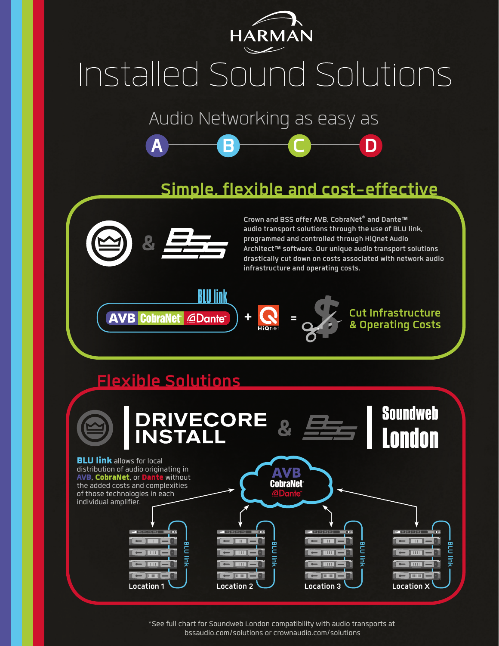

## Installed Sound Solutions

Audio Networking as easy as

**A B C D**

## **Simple, flexible and cost-effective**



**Crown and BSS offer AVB, CobraNet® and Dante™ audio transport solutions through the use of BLU link, programmed and controlled through HiQnet Audio Architect™ software. Our unique audio transport solutions drastically cut down on costs associated with network audio infrastructure and operating costs.**





**+ = Cut Infrastructure & Operating Costs**

## **Flexible Solutions**



\*See full chart for Soundweb London compatibility with audio transports at bssaudio.com/solutions or crownaudio.com/solutions